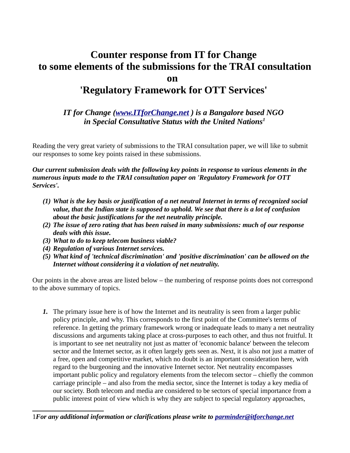## **Counter response from IT for Change to some elements of the submissions for the TRAI consultation on 'Regulatory Framework for OTT Services'**

## *IT for Change [\(www.ITforChange.net](http://www.ITforChange.net/) ) is a Bangalore based NGO in Special Consultative Status with the United Nations[1](#page-0-0)*

Reading the very great variety of submissions to the TRAI consultation paper, we will like to submit our responses to some key points raised in these submissions.

*Our current submission deals with the following key points in response to various elements in the numerous inputs made to the TRAI consultation paper on 'Regulatory Framework for OTT Services'.*

- *(1) What is the key basis or justification of a net neutral Internet in terms of recognized social value, that the Indian state is supposed to uphold. We see that there is a lot of confusion about the basic justifications for the net neutrality principle.*
- *(2) The issue of zero rating that has been raised in many submissions: much of our response deals with this issue.*
- *(3) What to do to keep telecom business viable?*
- *(4) Regulation of various Internet services.*
- *(5) What kind of 'technical discrimination' and 'positive discrimination' can be allowed on the Internet without considering it a violation of net neutrality.*

Our points in the above areas are listed below – the numbering of response points does not correspond to the above summary of topics.

*1.* The primary issue here is of how the Internet and its neutrality is seen from a larger public policy principle, and why. This corresponds to the first point of the Committee's terms of reference. In getting the primary framework wrong or inadequate leads to many a net neutrality discussions and arguments taking place at cross-purposes to each other, and thus not fruitful. It is important to see net neutrality not just as matter of 'economic balance' between the telecom sector and the Internet sector, as it often largely gets seen as. Next, it is also not just a matter of a free, open and competitive market, which no doubt is an important consideration here, with regard to the burgeoning and the innovative Internet sector. Net neutrality encompasses important public policy and regulatory elements from the telecom sector – chiefly the common carriage principle – and also from the media sector, since the Internet is today a key media of our society. Both telecom and media are considered to be sectors of special importance from a public interest point of view which is why they are subject to special regulatory approaches,

<span id="page-0-0"></span><sup>1</sup>*For any additional information or clarifications please write to [parminder@itforchange.net](mailto:parminder@itforchange.net)*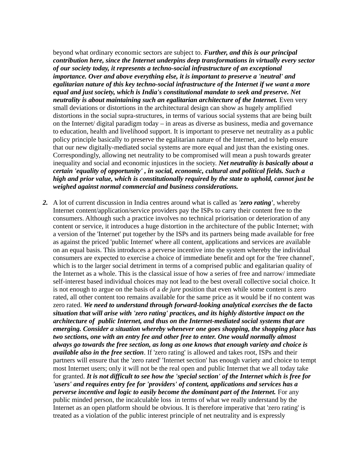beyond what ordinary economic sectors are subject to. *Further, and this is our principal contribution here, since the Internet underpins deep transformations in virtually every sector of our society today, it represents a techno-social infrastructure of an exceptional importance. Over and above everything else, it is important to preserve a 'neutral' and egalitarian nature of this key techno-social infrastructure of the Internet if we want a more equal and just society, which is India's constitutional mandate to seek and preserve. Net neutrality is about maintaining such an egalitarian architecture of the Internet. Even very* small deviations or distortions in the architectural design can show as hugely amplified distortions in the social supra-structures, in terms of various social systems that are being built on the Internet/ digital paradigm today – in areas as diverse as business, media and governance to education, health and livelihood support. It is important to preserve net neutrality as a public policy principle basically to preserve the egalitarian nature of the Internet, and to help ensure that our new digitally-mediated social systems are more equal and just than the existing ones. Correspondingly, allowing net neutrality to be compromised will mean a push towards greater inequality and social and economic injustices in the society. *Net neutrality is basically about a certain 'equality of opportunity' , in social, economic, cultural and political fields. Such a high and prior value, which is constitutionally required by the state to uphold, cannot just be weighed against normal commercial and business considerations.* 

*2.* A lot of current discussion in India centres around what is called as *'zero rating'*, whereby Internet content/application/service providers pay the ISPs to carry their content free to the consumers. Although such a practice involves no technical priorisation or deterioration of any content or service, it introduces a huge distortion in the architecture of the public Internet; with a version of the 'Internet' put together by the ISPs and its partners being made available for free as against the priced 'public Internet' where all content, applications and services are available on an equal basis. This introduces a perverse incentive into the system whereby the individual consumers are expected to exercise a choice of immediate benefit and opt for the 'free channel', which is to the larger social detriment in terms of a comprised public and egalitarian quality of the Internet as a whole. This is the classical issue of how a series of free and narrow/ immediate self-interest based individual choices may not lead to the best overall collective social choice. It is not enough to argue on the basis of a *de jure* position that even while some content is zero rated, all other content too remains available for the same price as it would be if no content was zero rated. *We need to understand through forward-looking analytical exercises the* **de facto** *situation that will arise with 'zero rating' practices, and its highly distortive impact on the architecture of public Internet, and thus on the Internet-mediated social systems that are emerging. Consider a situation whereby whenever one goes shopping, the shopping place has two sections, one with an entry fee and other free to enter. One would normally almost always go towards the free section, as long as one knows that enough variety and choice is available also in the free section*. If 'zero rating' is allowed and takes root, ISPs and their partners will ensure that the 'zero rated' 'Internet section' has enough variety and choice to tempt most Internet users; only it will not be the real open and public Internet that we all today take for granted. *It is not difficult to see how the 'special section' of the Internet which is free for 'users' and requires entry fee for 'providers' of content, applications and services has a perverse incentive and logic to easily become the dominant part of the Internet.* For any public minded person, the incalculable loss in terms of what we really understand by the Internet as an open platform should be obvious. It is therefore imperative that 'zero rating' is treated as a violation of the public interest principle of net neutrality and is expressly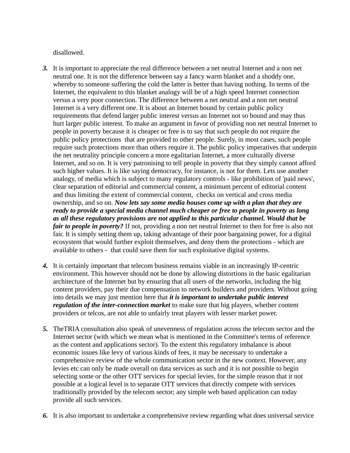disallowed.

- *3.* It is important to appreciate the real difference between a net neutral Internet and a non net neutral one. It is not the difference between say a fancy warm blanket and a shoddy one, whereby to someone suffering the cold the latter is better than having nothing. In terms of the Internet, the equivalent to this blanket analogy will be of a high speed Internet connection versus a very poor connection. The difference between a net neutral and a non net neutral Internet is a very different one. It is about an Internet bound by certain public policy requirements that defend larger public interest versus an Internet not so bound and may thus hurt larger public interest. To make an argument in favor of providing non net neutral Internet to people in poverty because it is cheaper or free is to say that such people do not require the public policy protections that are provided to other people. Surely, in most cases, such people require such protections more than others require it. The public policy imperatives that underpin the net neutrality principle concern a more egalitarian Internet, a more culturally diverse Internet, and so on. It is very patronising to tell people in poverty that they simply cannot afford such higher values. It is like saying democracy, for instance, is not for them. Lets use another analogy, of media which is subject to many regulatory controls - like prohibition of 'paid news', clear separation of editorial and commercial content, a minimum percent of editorial content and thus limiting the extent of commercial content, checks on vertical and cross media ownership, and so on. *Now lets say some media houses come up with a plan that they are ready to provide a special media channel much cheaper or free to people in poverty as long as all these regulatory provisions are not applied to this particular channel. Would that be fair to people in poverty?* If not, providing a non net neutral Internet to then for free is also not fair. It is simply setting them up, taking advantage of their poor bargaining power, for a digital ecosystem that would further exploit themselves, and deny them the protections - which are available to others - that could save them for such exploitative digital systems.
- *4.* It is certainly important that telecom business remains viable in an increasingly IP-centric environment. This however should not be done by allowing distortions in the basic egalitarian architecture of the Internet but by ensuring that all users of the networks, including the big content providers, pay their due compensation to network builders and providers. Without going into details we may just mention here that *it is important to undertake public interest regulation of the inter-connection market* to make sure that big players, whether content providers or telcos, are not able to unfairly treat players with lesser market power.
- *5.* TheTRIA consultation also speak of unevenness of regulation across the telecom sector and the Internet sector (with which we mean what is mentioned in the Committee's terms of reference as the content and applications sector). To the extent this regulatory imbalance is about economic issues like levy of various kinds of fees, it may be necessary to undertake a comprehensive review of the whole communication sector in the new context. However, any levies etc can only be made overall on data services as such and it is not possible to begin selecting some or the other OTT services for special levies, for the simple reason that it not possible at a logical level is to separate OTT services that directly compete with services traditionally provided by the telecom sector; any simple web based application can today provide all such services.
- *6.* It is also important to undertake a comprehensive review regarding what does universal service